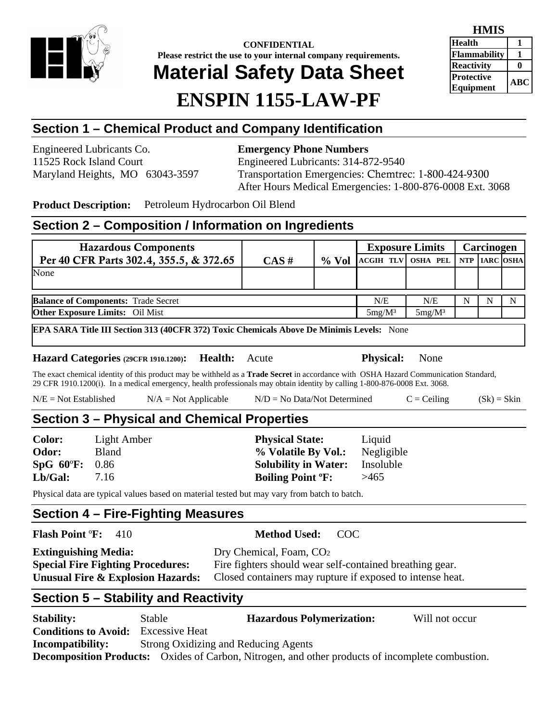

**CONFIDENTIAL Please restrict the use to your internal company requirements.** 

# **Material Safety Data Sheet**

# **ENSPIN 1155-LAW-PF**

| HMIS                                   |           |
|----------------------------------------|-----------|
| <b>Health</b>                          |           |
| <b>Flammability</b>                    |           |
| <b>Reactivity</b>                      |           |
| <b> Protective</b><br><b>Equipment</b> | $\bf ABC$ |

## **Section 1 – Chemical Product and Company Identification**

Engineered Lubricants Co. **Emergency Phone Numbers** 

11525 Rock Island Court Engineered Lubricants: 314-872-9540 Maryland Heights, MO 63043-3597 Transportation Emergencies: Chemtrec: 1-800-424-9300 After Hours Medical Emergencies: 1-800-876-0008 Ext. 3068

**Product Description:** Petroleum Hydrocarbon Oil Blend

### **Section 2 – Composition / Information on Ingredients**

| <b>Hazardous Components</b>                |          |          |                                  | <b>Exposure Limits</b> |   | Carcinogen |   |
|--------------------------------------------|----------|----------|----------------------------------|------------------------|---|------------|---|
| Per 40 CFR Parts 302.4, 355.5, & 372.65    | $CAS \#$ | $\%$ Vol | ACGIH TLV OSHA PEL NTP IARC OSHA |                        |   |            |   |
| None                                       |          |          |                                  |                        |   |            |   |
|                                            |          |          |                                  |                        |   |            |   |
| <b>Balance of Components: Trade Secret</b> |          |          | N/E                              | N/E                    | N |            | N |
| <b>Other Exposure Limits:</b> Oil Mist     |          |          | $5mg/M^3$                        | $5mg/M^3$              |   |            |   |

**EPA SARA Title III Section 313 (40CFR 372) Toxic Chemicals Above De Minimis Levels:** None

**Hazard Categories (29CFR 1910.1200): Health:** Acute **Physical:** None

The exact chemical identity of this product may be withheld as a **Trade Secret** in accordance with OSHA Hazard Communication Standard, 29 CFR 1910.1200(i). In a medical emergency, health professionals may obtain identity by calling 1-800-876-0008 Ext. 3068.

| $N/E = Not Established$ | $N/A = Not Applicable$ | $N/D = No Data/Not Determine$ | $C = Ceiling$ | $(Sk) = Skin$ |
|-------------------------|------------------------|-------------------------------|---------------|---------------|
|-------------------------|------------------------|-------------------------------|---------------|---------------|

### **Section 3 – Physical and Chemical Properties**

| <b>Color:</b>  | Light Amber  | <b>Physical State:</b>              | Liquid     |  |
|----------------|--------------|-------------------------------------|------------|--|
| <b>Odor:</b>   | <b>Bland</b> | % Volatile By Vol.:                 | Negligible |  |
| SpG 60°F: 0.86 |              | <b>Solubility in Water:</b>         | Insoluble  |  |
| Lb/Gal:        | 7.16         | <b>Boiling Point <sup>o</sup>F:</b> | >465       |  |
|                |              |                                     |            |  |

Physical data are typical values based on material tested but may vary from batch to batch.

### **Section 4 – Fire-Fighting Measures**

**Flash Point** º**F:** 410 **Method Used:** COC

| <b>Extinguishing Media:</b>              | Dry Chemical, Foam, CO <sub>2</sub>                       |
|------------------------------------------|-----------------------------------------------------------|
| <b>Special Fire Fighting Procedures:</b> | Fire fighters should wear self-contained breathing gear.  |
| Unusual Fire & Explosion Hazards:        | Closed containers may rupture if exposed to intense heat. |

## **Section 5 – Stability and Reactivity**

**Stability:** Stable **Hazardous Polymerization:** Will not occur **Conditions to Avoid:** Excessive Heat **Incompatibility:** Strong Oxidizing and Reducing Agents **Decomposition Products:** Oxides of Carbon, Nitrogen, and other products of incomplete combustion.